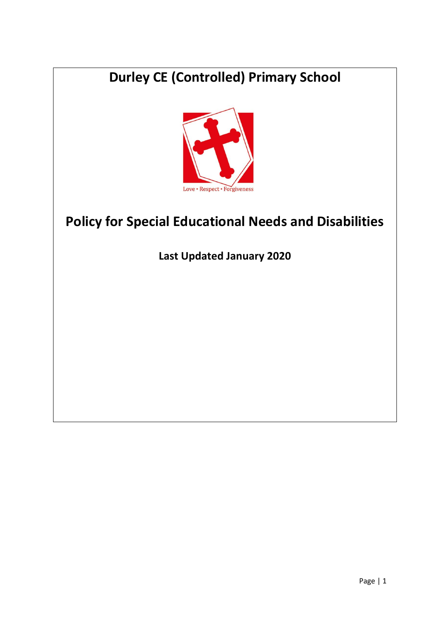# **Durley CE (Controlled) Primary School**



## **Policy for Special Educational Needs and Disabilities**

**Last Updated January 2020**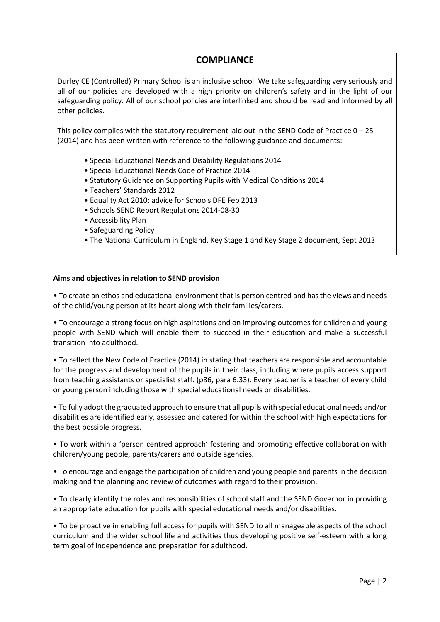## **COMPLIANCE**

Durley CE (Controlled) Primary School is an inclusive school. We take safeguarding very seriously and all of our policies are developed with a high priority on children's safety and in the light of our safeguarding policy. All of our school policies are interlinked and should be read and informed by all other policies.

This policy complies with the statutory requirement laid out in the SEND Code of Practice  $0-25$ (2014) and has been written with reference to the following guidance and documents:

- Special Educational Needs and Disability Regulations 2014
- Special Educational Needs Code of Practice 2014
- Statutory Guidance on Supporting Pupils with Medical Conditions 2014
- Teachers' Standards 2012
- Equality Act 2010: advice for Schools DFE Feb 2013
- Schools SEND Report Regulations 2014-08-30
- Accessibility Plan
- Safeguarding Policy
- The National Curriculum in England, Key Stage 1 and Key Stage 2 document, Sept 2013

## **Aims and objectives in relation to SEND provision**

• To create an ethos and educational environment that is person centred and has the views and needs of the child/young person at its heart along with their families/carers.

• To encourage a strong focus on high aspirations and on improving outcomes for children and young people with SEND which will enable them to succeed in their education and make a successful transition into adulthood.

• To reflect the New Code of Practice (2014) in stating that teachers are responsible and accountable for the progress and development of the pupils in their class, including where pupils access support from teaching assistants or specialist staff. (p86, para 6.33). Every teacher is a teacher of every child or young person including those with special educational needs or disabilities.

• To fully adopt the graduated approach to ensure that all pupils with special educational needs and/or disabilities are identified early, assessed and catered for within the school with high expectations for the best possible progress.

• To work within a 'person centred approach' fostering and promoting effective collaboration with children/young people, parents/carers and outside agencies.

• To encourage and engage the participation of children and young people and parents in the decision making and the planning and review of outcomes with regard to their provision.

• To clearly identify the roles and responsibilities of school staff and the SEND Governor in providing an appropriate education for pupils with special educational needs and/or disabilities.

• To be proactive in enabling full access for pupils with SEND to all manageable aspects of the school curriculum and the wider school life and activities thus developing positive self-esteem with a long term goal of independence and preparation for adulthood.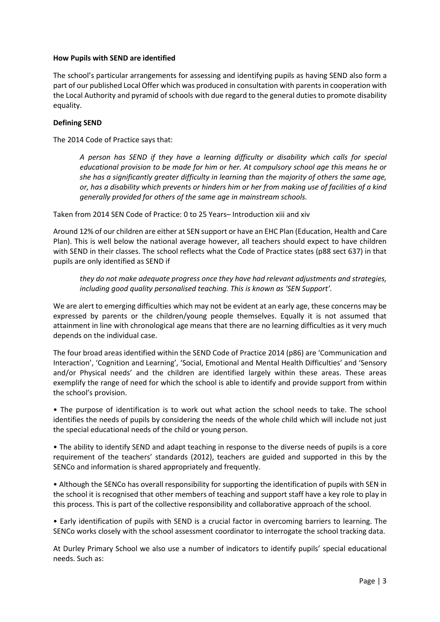## **How Pupils with SEND are identified**

The school's particular arrangements for assessing and identifying pupils as having SEND also form a part of our published Local Offer which was produced in consultation with parents in cooperation with the Local Authority and pyramid of schools with due regard to the general duties to promote disability equality.

## **Defining SEND**

The 2014 Code of Practice says that:

*A person has SEND if they have a learning difficulty or disability which calls for special educational provision to be made for him or her. At compulsory school age this means he or she has a significantly greater difficulty in learning than the majority of others the same age, or, has a disability which prevents or hinders him or her from making use of facilities of a kind generally provided for others of the same age in mainstream schools.*

Taken from 2014 SEN Code of Practice: 0 to 25 Years– Introduction xiii and xiv

Around 12% of our children are either at SEN support or have an EHC Plan (Education, Health and Care Plan). This is well below the national average however, all teachers should expect to have children with SEND in their classes. The school reflects what the Code of Practice states (p88 sect 637) in that pupils are only identified as SEND if

*they do not make adequate progress once they have had relevant adjustments and strategies, including good quality personalised teaching. This is known as 'SEN Support'.*

We are alert to emerging difficulties which may not be evident at an early age, these concerns may be expressed by parents or the children/young people themselves. Equally it is not assumed that attainment in line with chronological age means that there are no learning difficulties as it very much depends on the individual case.

The four broad areas identified within the SEND Code of Practice 2014 (p86) are 'Communication and Interaction', 'Cognition and Learning', 'Social, Emotional and Mental Health Difficulties' and 'Sensory and/or Physical needs' and the children are identified largely within these areas. These areas exemplify the range of need for which the school is able to identify and provide support from within the school's provision.

• The purpose of identification is to work out what action the school needs to take. The school identifies the needs of pupils by considering the needs of the whole child which will include not just the special educational needs of the child or young person.

• The ability to identify SEND and adapt teaching in response to the diverse needs of pupils is a core requirement of the teachers' standards (2012), teachers are guided and supported in this by the SENCo and information is shared appropriately and frequently.

• Although the SENCo has overall responsibility for supporting the identification of pupils with SEN in the school it is recognised that other members of teaching and support staff have a key role to play in this process. This is part of the collective responsibility and collaborative approach of the school.

• Early identification of pupils with SEND is a crucial factor in overcoming barriers to learning. The SENCo works closely with the school assessment coordinator to interrogate the school tracking data.

At Durley Primary School we also use a number of indicators to identify pupils' special educational needs. Such as: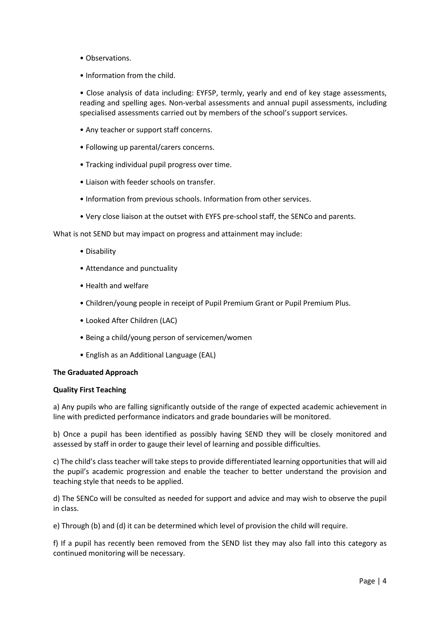- Observations.
- Information from the child.

• Close analysis of data including: EYFSP, termly, yearly and end of key stage assessments, reading and spelling ages. Non-verbal assessments and annual pupil assessments, including specialised assessments carried out by members of the school's support services.

- Any teacher or support staff concerns.
- Following up parental/carers concerns.
- Tracking individual pupil progress over time.
- Liaison with feeder schools on transfer.
- Information from previous schools. Information from other services.
- Very close liaison at the outset with EYFS pre-school staff, the SENCo and parents.

What is not SEND but may impact on progress and attainment may include:

- Disability
- Attendance and punctuality
- Health and welfare
- Children/young people in receipt of Pupil Premium Grant or Pupil Premium Plus.
- Looked After Children (LAC)
- Being a child/young person of servicemen/women
- English as an Additional Language (EAL)

## **The Graduated Approach**

## **Quality First Teaching**

a) Any pupils who are falling significantly outside of the range of expected academic achievement in line with predicted performance indicators and grade boundaries will be monitored.

b) Once a pupil has been identified as possibly having SEND they will be closely monitored and assessed by staff in order to gauge their level of learning and possible difficulties.

c) The child's class teacher will take steps to provide differentiated learning opportunities that will aid the pupil's academic progression and enable the teacher to better understand the provision and teaching style that needs to be applied.

d) The SENCo will be consulted as needed for support and advice and may wish to observe the pupil in class.

e) Through (b) and (d) it can be determined which level of provision the child will require.

f) If a pupil has recently been removed from the SEND list they may also fall into this category as continued monitoring will be necessary.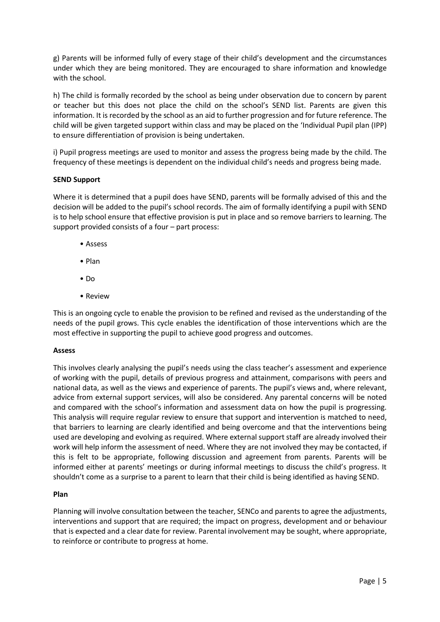g) Parents will be informed fully of every stage of their child's development and the circumstances under which they are being monitored. They are encouraged to share information and knowledge with the school.

h) The child is formally recorded by the school as being under observation due to concern by parent or teacher but this does not place the child on the school's SEND list. Parents are given this information. It is recorded by the school as an aid to further progression and for future reference. The child will be given targeted support within class and may be placed on the 'Individual Pupil plan (IPP) to ensure differentiation of provision is being undertaken.

i) Pupil progress meetings are used to monitor and assess the progress being made by the child. The frequency of these meetings is dependent on the individual child's needs and progress being made.

## **SEND Support**

Where it is determined that a pupil does have SEND, parents will be formally advised of this and the decision will be added to the pupil's school records. The aim of formally identifying a pupil with SEND is to help school ensure that effective provision is put in place and so remove barriers to learning. The support provided consists of a four – part process:

- Assess
- Plan
- Do
- Review

This is an ongoing cycle to enable the provision to be refined and revised as the understanding of the needs of the pupil grows. This cycle enables the identification of those interventions which are the most effective in supporting the pupil to achieve good progress and outcomes.

## **Assess**

This involves clearly analysing the pupil's needs using the class teacher's assessment and experience of working with the pupil, details of previous progress and attainment, comparisons with peers and national data, as well as the views and experience of parents. The pupil's views and, where relevant, advice from external support services, will also be considered. Any parental concerns will be noted and compared with the school's information and assessment data on how the pupil is progressing. This analysis will require regular review to ensure that support and intervention is matched to need, that barriers to learning are clearly identified and being overcome and that the interventions being used are developing and evolving as required. Where external support staff are already involved their work will help inform the assessment of need. Where they are not involved they may be contacted, if this is felt to be appropriate, following discussion and agreement from parents. Parents will be informed either at parents' meetings or during informal meetings to discuss the child's progress. It shouldn't come as a surprise to a parent to learn that their child is being identified as having SEND.

## **Plan**

Planning will involve consultation between the teacher, SENCo and parents to agree the adjustments, interventions and support that are required; the impact on progress, development and or behaviour that is expected and a clear date for review. Parental involvement may be sought, where appropriate, to reinforce or contribute to progress at home.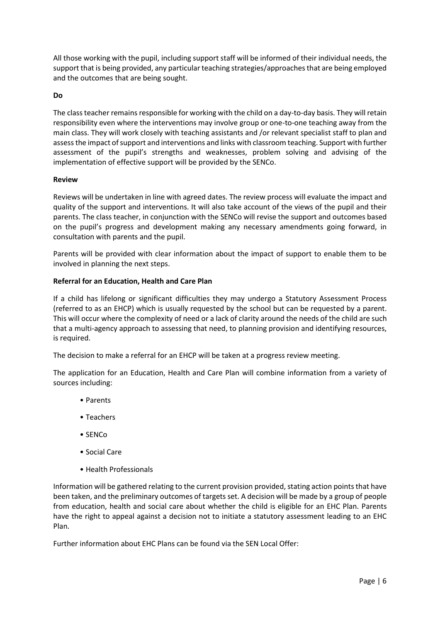All those working with the pupil, including support staff will be informed of their individual needs, the support that is being provided, any particular teaching strategies/approaches that are being employed and the outcomes that are being sought.

## **Do**

The class teacher remains responsible for working with the child on a day-to-day basis. They will retain responsibility even where the interventions may involve group or one-to-one teaching away from the main class. They will work closely with teaching assistants and /or relevant specialist staff to plan and assess the impact of support and interventions and links with classroom teaching. Support with further assessment of the pupil's strengths and weaknesses, problem solving and advising of the implementation of effective support will be provided by the SENCo.

## **Review**

Reviews will be undertaken in line with agreed dates. The review process will evaluate the impact and quality of the support and interventions. It will also take account of the views of the pupil and their parents. The class teacher, in conjunction with the SENCo will revise the support and outcomes based on the pupil's progress and development making any necessary amendments going forward, in consultation with parents and the pupil.

Parents will be provided with clear information about the impact of support to enable them to be involved in planning the next steps.

## **Referral for an Education, Health and Care Plan**

If a child has lifelong or significant difficulties they may undergo a Statutory Assessment Process (referred to as an EHCP) which is usually requested by the school but can be requested by a parent. This will occur where the complexity of need or a lack of clarity around the needs of the child are such that a multi-agency approach to assessing that need, to planning provision and identifying resources, is required.

The decision to make a referral for an EHCP will be taken at a progress review meeting.

The application for an Education, Health and Care Plan will combine information from a variety of sources including:

- Parents
- Teachers
- SENCo
- Social Care
- Health Professionals

Information will be gathered relating to the current provision provided, stating action points that have been taken, and the preliminary outcomes of targets set. A decision will be made by a group of people from education, health and social care about whether the child is eligible for an EHC Plan. Parents have the right to appeal against a decision not to initiate a statutory assessment leading to an EHC Plan.

Further information about EHC Plans can be found via the SEN Local Offer: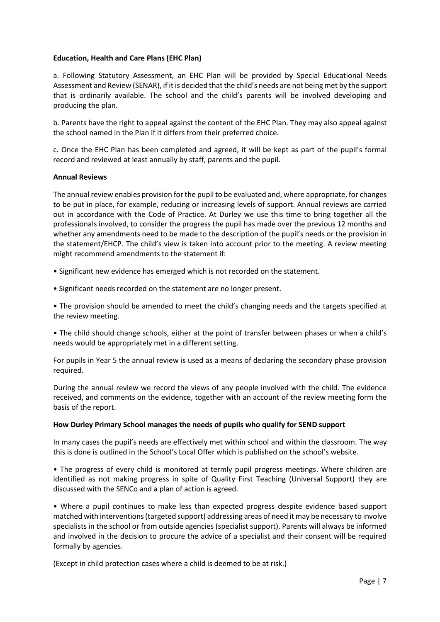## **Education, Health and Care Plans (EHC Plan)**

a. Following Statutory Assessment, an EHC Plan will be provided by Special Educational Needs Assessment and Review (SENAR), if it is decided that the child's needs are not being met by the support that is ordinarily available. The school and the child's parents will be involved developing and producing the plan.

b. Parents have the right to appeal against the content of the EHC Plan. They may also appeal against the school named in the Plan if it differs from their preferred choice.

c. Once the EHC Plan has been completed and agreed, it will be kept as part of the pupil's formal record and reviewed at least annually by staff, parents and the pupil.

### **Annual Reviews**

The annual review enables provision for the pupil to be evaluated and, where appropriate, for changes to be put in place, for example, reducing or increasing levels of support. Annual reviews are carried out in accordance with the Code of Practice. At Durley we use this time to bring together all the professionals involved, to consider the progress the pupil has made over the previous 12 months and whether any amendments need to be made to the description of the pupil's needs or the provision in the statement/EHCP. The child's view is taken into account prior to the meeting. A review meeting might recommend amendments to the statement if:

• Significant new evidence has emerged which is not recorded on the statement.

• Significant needs recorded on the statement are no longer present.

• The provision should be amended to meet the child's changing needs and the targets specified at the review meeting.

• The child should change schools, either at the point of transfer between phases or when a child's needs would be appropriately met in a different setting.

For pupils in Year 5 the annual review is used as a means of declaring the secondary phase provision required.

During the annual review we record the views of any people involved with the child. The evidence received, and comments on the evidence, together with an account of the review meeting form the basis of the report.

## **How Durley Primary School manages the needs of pupils who qualify for SEND support**

In many cases the pupil's needs are effectively met within school and within the classroom. The way this is done is outlined in the School's Local Offer which is published on the school's website.

• The progress of every child is monitored at termly pupil progress meetings. Where children are identified as not making progress in spite of Quality First Teaching (Universal Support) they are discussed with the SENCo and a plan of action is agreed.

• Where a pupil continues to make less than expected progress despite evidence based support matched with interventions (targeted support) addressing areas of need it may be necessary to involve specialists in the school or from outside agencies (specialist support). Parents will always be informed and involved in the decision to procure the advice of a specialist and their consent will be required formally by agencies.

(Except in child protection cases where a child is deemed to be at risk.)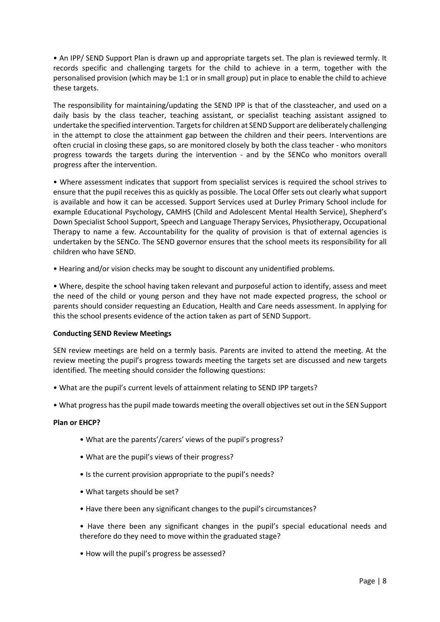• An IPP/ SEND Support Plan is drawn up and appropriate targets set. The plan is reviewed termly. It records specific and challenging targets for the child to achieve in a term, together with the personalised provision (which may be 1:1 or in small group) put in place to enable the child to achieve these targets.

The responsibility for maintaining/updating the SEND IPP is that of the classteacher, and used on a daily basis by the class teacher, teaching assistant, or specialist teaching assistant assigned to undertake the specified intervention. Targets for children at SEND Support are deliberately challenging in the attempt to close the attainment gap between the children and their peers. Interventions are often crucial in closing these gaps, so are monitored closely by both the class teacher - who monitors progress towards the targets during the intervention - and by the SENCo who monitors overall progress after the intervention.

• Where assessment indicates that support from specialist services is required the school strives to ensure that the pupil receives this as quickly as possible. The Local Offer sets out clearly what support is available and how it can be accessed. Support Services used at Durley Primary School include for example Educational Psychology, CAMHS (Child and Adolescent Mental Health Service), Shepherd's Down Specialist School Support, Speech and Language Therapy Services, Physiotherapy, Occupational Therapy to name a few. Accountability for the quality of provision is that of external agencies is undertaken by the SENCo. The SEND governor ensures that the school meets its responsibility for all children who have SEND.

• Hearing and/or vision checks may be sought to discount any unidentified problems.

• Where, despite the school having taken relevant and purposeful action to identify, assess and meet the need of the child or young person and they have not made expected progress, the school or parents should consider requesting an Education, Health and Care needs assessment. In applying for this the school presents evidence of the action taken as part of SEND Support.

## **Conducting SEND Review Meetings**

SEN review meetings are held on a termly basis. Parents are invited to attend the meeting. At the review meeting the pupil's progress towards meeting the targets set are discussed and new targets identified. The meeting should consider the following questions:

- What are the pupil's current levels of attainment relating to SEND IPP targets?
- What progress has the pupil made towards meeting the overall objectives set out in the SEN Support

## **Plan or EHCP?**

- What are the parents'/carers' views of the pupil's progress?
- What are the pupil's views of their progress?
- Is the current provision appropriate to the pupil's needs?
- What targets should be set?
- Have there been any significant changes to the pupil's circumstances?
- Have there been any significant changes in the pupil's special educational needs and therefore do they need to move within the graduated stage?
- How will the pupil's progress be assessed?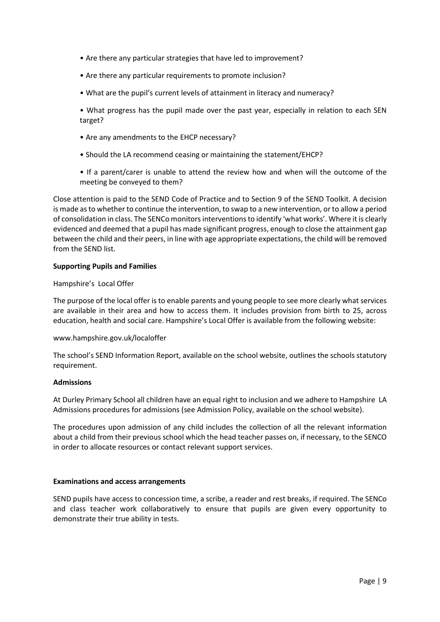- Are there any particular strategies that have led to improvement?
- Are there any particular requirements to promote inclusion?
- What are the pupil's current levels of attainment in literacy and numeracy?
- What progress has the pupil made over the past year, especially in relation to each SEN target?
- Are any amendments to the EHCP necessary?
- Should the LA recommend ceasing or maintaining the statement/EHCP?
- If a parent/carer is unable to attend the review how and when will the outcome of the meeting be conveyed to them?

Close attention is paid to the SEND Code of Practice and to Section 9 of the SEND Toolkit. A decision is made as to whether to continue the intervention, to swap to a new intervention, or to allow a period of consolidation in class. The SENCo monitors interventions to identify 'what works'. Where it is clearly evidenced and deemed that a pupil has made significant progress, enough to close the attainment gap between the child and their peers, in line with age appropriate expectations, the child will be removed from the SEND list.

### **Supporting Pupils and Families**

#### Hampshire's Local Offer

The purpose of the local offer is to enable parents and young people to see more clearly what services are available in their area and how to access them. It includes provision from birth to 25, across education, health and social care. Hampshire's Local Offer is available from the following website:

#### www.hampshire.gov.uk/localoffer

The school's SEND Information Report, available on the school website, outlines the schools statutory requirement.

## **Admissions**

At Durley Primary School all children have an equal right to inclusion and we adhere to Hampshire LA Admissions procedures for admissions (see Admission Policy, available on the school website).

The procedures upon admission of any child includes the collection of all the relevant information about a child from their previous school which the head teacher passes on, if necessary, to the SENCO in order to allocate resources or contact relevant support services.

#### **Examinations and access arrangements**

SEND pupils have access to concession time, a scribe, a reader and rest breaks, if required. The SENCo and class teacher work collaboratively to ensure that pupils are given every opportunity to demonstrate their true ability in tests.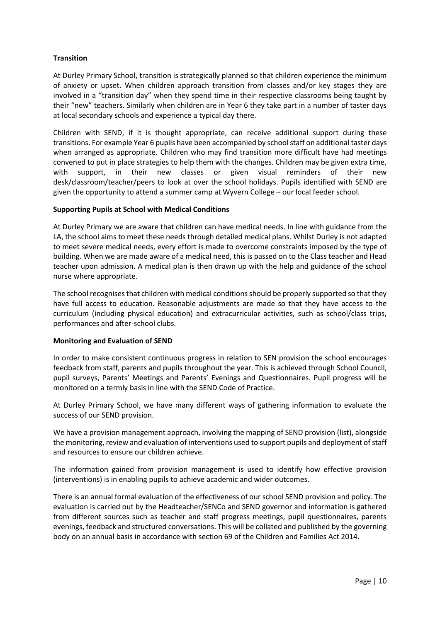## **Transition**

At Durley Primary School, transition is strategically planned so that children experience the minimum of anxiety or upset. When children approach transition from classes and/or key stages they are involved in a "transition day" when they spend time in their respective classrooms being taught by their "new" teachers. Similarly when children are in Year 6 they take part in a number of taster days at local secondary schools and experience a typical day there.

Children with SEND, if it is thought appropriate, can receive additional support during these transitions. For example Year 6 pupils have been accompanied by school staff on additional taster days when arranged as appropriate. Children who may find transition more difficult have had meetings convened to put in place strategies to help them with the changes. Children may be given extra time, with support, in their new classes or given visual reminders of their new desk/classroom/teacher/peers to look at over the school holidays. Pupils identified with SEND are given the opportunity to attend a summer camp at Wyvern College – our local feeder school.

## **Supporting Pupils at School with Medical Conditions**

At Durley Primary we are aware that children can have medical needs. In line with guidance from the LA, the school aims to meet these needs through detailed medical plans. Whilst Durley is not adapted to meet severe medical needs, every effort is made to overcome constraints imposed by the type of building. When we are made aware of a medical need, this is passed on to the Class teacher and Head teacher upon admission. A medical plan is then drawn up with the help and guidance of the school nurse where appropriate.

The school recognises that children with medical conditions should be properly supported so that they have full access to education. Reasonable adjustments are made so that they have access to the curriculum (including physical education) and extracurricular activities, such as school/class trips, performances and after-school clubs.

## **Monitoring and Evaluation of SEND**

In order to make consistent continuous progress in relation to SEN provision the school encourages feedback from staff, parents and pupils throughout the year. This is achieved through School Council, pupil surveys, Parents' Meetings and Parents' Evenings and Questionnaires. Pupil progress will be monitored on a termly basis in line with the SEND Code of Practice.

At Durley Primary School, we have many different ways of gathering information to evaluate the success of our SEND provision.

We have a provision management approach, involving the mapping of SEND provision (list), alongside the monitoring, review and evaluation of interventions used to support pupils and deployment of staff and resources to ensure our children achieve.

The information gained from provision management is used to identify how effective provision (interventions) is in enabling pupils to achieve academic and wider outcomes.

There is an annual formal evaluation of the effectiveness of our school SEND provision and policy. The evaluation is carried out by the Headteacher/SENCo and SEND governor and information is gathered from different sources such as teacher and staff progress meetings, pupil questionnaires, parents evenings, feedback and structured conversations. This will be collated and published by the governing body on an annual basis in accordance with section 69 of the Children and Families Act 2014.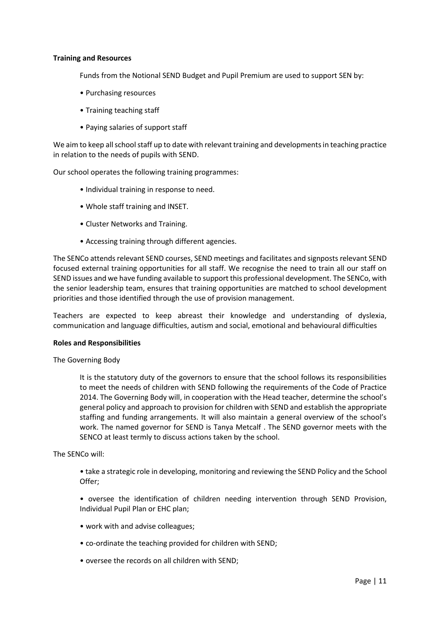### **Training and Resources**

Funds from the Notional SEND Budget and Pupil Premium are used to support SEN by:

- Purchasing resources
- Training teaching staff
- Paying salaries of support staff

We aim to keep all school staff up to date with relevant training and developments in teaching practice in relation to the needs of pupils with SEND.

Our school operates the following training programmes:

- Individual training in response to need.
- Whole staff training and INSET.
- Cluster Networks and Training.
- Accessing training through different agencies.

The SENCo attends relevant SEND courses, SEND meetings and facilitates and signposts relevant SEND focused external training opportunities for all staff. We recognise the need to train all our staff on SEND issues and we have funding available to support this professional development. The SENCo, with the senior leadership team, ensures that training opportunities are matched to school development priorities and those identified through the use of provision management.

Teachers are expected to keep abreast their knowledge and understanding of dyslexia, communication and language difficulties, autism and social, emotional and behavioural difficulties

#### **Roles and Responsibilities**

The Governing Body

It is the statutory duty of the governors to ensure that the school follows its responsibilities to meet the needs of children with SEND following the requirements of the Code of Practice 2014. The Governing Body will, in cooperation with the Head teacher, determine the school's general policy and approach to provision for children with SEND and establish the appropriate staffing and funding arrangements. It will also maintain a general overview of the school's work. The named governor for SEND is Tanya Metcalf . The SEND governor meets with the SENCO at least termly to discuss actions taken by the school.

The SENCo will:

• take a strategic role in developing, monitoring and reviewing the SEND Policy and the School Offer;

• oversee the identification of children needing intervention through SEND Provision, Individual Pupil Plan or EHC plan;

- work with and advise colleagues;
- co-ordinate the teaching provided for children with SEND;
- oversee the records on all children with SEND;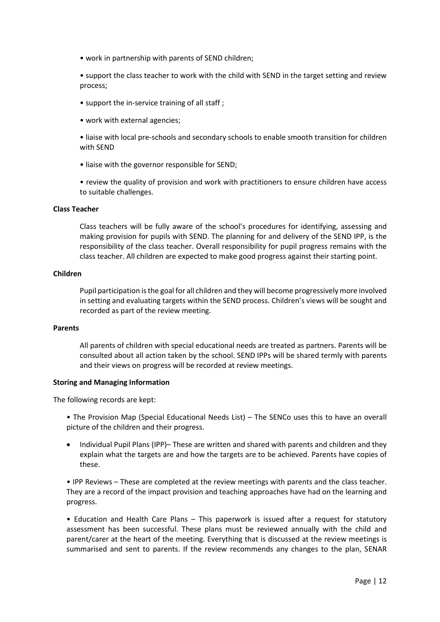• work in partnership with parents of SEND children;

• support the class teacher to work with the child with SEND in the target setting and review process;

- support the in-service training of all staff ;
- work with external agencies;

• liaise with local pre-schools and secondary schools to enable smooth transition for children with SEND

• liaise with the governor responsible for SEND;

• review the quality of provision and work with practitioners to ensure children have access to suitable challenges.

#### **Class Teacher**

Class teachers will be fully aware of the school's procedures for identifying, assessing and making provision for pupils with SEND. The planning for and delivery of the SEND IPP, is the responsibility of the class teacher. Overall responsibility for pupil progress remains with the class teacher. All children are expected to make good progress against their starting point.

#### **Children**

Pupil participation is the goal for all children and they will become progressively more involved in setting and evaluating targets within the SEND process. Children's views will be sought and recorded as part of the review meeting.

## **Parents**

All parents of children with special educational needs are treated as partners. Parents will be consulted about all action taken by the school. SEND IPPs will be shared termly with parents and their views on progress will be recorded at review meetings.

## **Storing and Managing Information**

The following records are kept:

• The Provision Map (Special Educational Needs List) – The SENCo uses this to have an overall picture of the children and their progress.

 Individual Pupil Plans (IPP)– These are written and shared with parents and children and they explain what the targets are and how the targets are to be achieved. Parents have copies of these.

• IPP Reviews – These are completed at the review meetings with parents and the class teacher. They are a record of the impact provision and teaching approaches have had on the learning and progress.

• Education and Health Care Plans – This paperwork is issued after a request for statutory assessment has been successful. These plans must be reviewed annually with the child and parent/carer at the heart of the meeting. Everything that is discussed at the review meetings is summarised and sent to parents. If the review recommends any changes to the plan, SENAR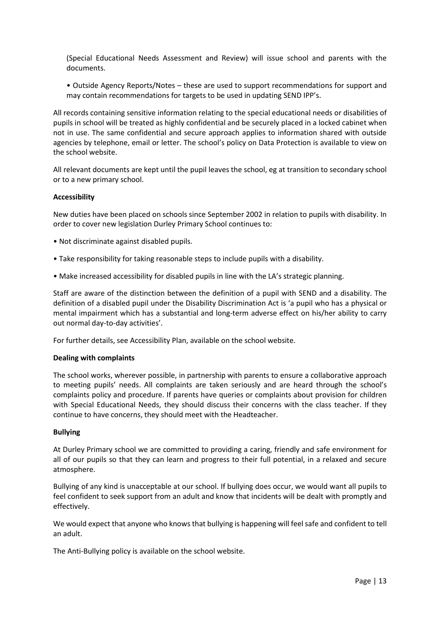(Special Educational Needs Assessment and Review) will issue school and parents with the documents.

• Outside Agency Reports/Notes – these are used to support recommendations for support and may contain recommendations for targets to be used in updating SEND IPP's.

All records containing sensitive information relating to the special educational needs or disabilities of pupils in school will be treated as highly confidential and be securely placed in a locked cabinet when not in use. The same confidential and secure approach applies to information shared with outside agencies by telephone, email or letter. The school's policy on Data Protection is available to view on the school website.

All relevant documents are kept until the pupil leaves the school, eg at transition to secondary school or to a new primary school.

### **Accessibility**

New duties have been placed on schools since September 2002 in relation to pupils with disability. In order to cover new legislation Durley Primary School continues to:

- Not discriminate against disabled pupils.
- Take responsibility for taking reasonable steps to include pupils with a disability.
- Make increased accessibility for disabled pupils in line with the LA's strategic planning.

Staff are aware of the distinction between the definition of a pupil with SEND and a disability. The definition of a disabled pupil under the Disability Discrimination Act is 'a pupil who has a physical or mental impairment which has a substantial and long-term adverse effect on his/her ability to carry out normal day-to-day activities'.

For further details, see Accessibility Plan, available on the school website.

#### **Dealing with complaints**

The school works, wherever possible, in partnership with parents to ensure a collaborative approach to meeting pupils' needs. All complaints are taken seriously and are heard through the school's complaints policy and procedure. If parents have queries or complaints about provision for children with Special Educational Needs, they should discuss their concerns with the class teacher. If they continue to have concerns, they should meet with the Headteacher.

#### **Bullying**

At Durley Primary school we are committed to providing a caring, friendly and safe environment for all of our pupils so that they can learn and progress to their full potential, in a relaxed and secure atmosphere.

Bullying of any kind is unacceptable at our school. If bullying does occur, we would want all pupils to feel confident to seek support from an adult and know that incidents will be dealt with promptly and effectively.

We would expect that anyone who knows that bullying is happening will feel safe and confident to tell an adult.

The Anti-Bullying policy is available on the school website.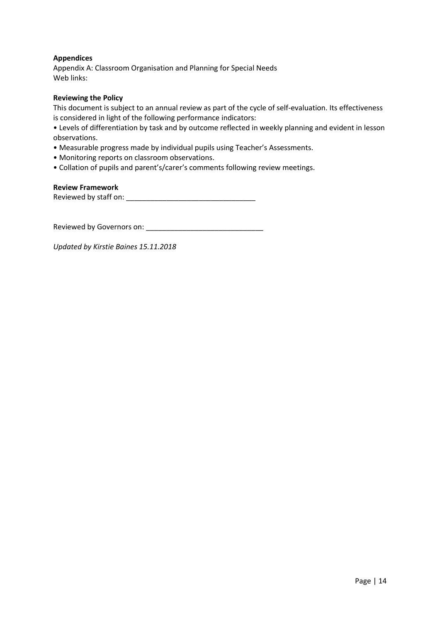## **Appendices**

Appendix A: Classroom Organisation and Planning for Special Needs Web links:

## **Reviewing the Policy**

This document is subject to an annual review as part of the cycle of self-evaluation. Its effectiveness is considered in light of the following performance indicators:

• Levels of differentiation by task and by outcome reflected in weekly planning and evident in lesson observations.

- Measurable progress made by individual pupils using Teacher's Assessments.
- Monitoring reports on classroom observations.
- Collation of pupils and parent's/carer's comments following review meetings.

## **Review Framework**

Reviewed by staff on: \_\_\_\_\_\_\_\_\_\_\_\_\_\_\_\_\_\_\_\_\_\_\_\_\_\_\_\_\_\_\_\_

Reviewed by Governors on: \_\_\_\_\_\_\_\_\_\_\_\_\_\_\_\_\_\_\_\_\_\_\_\_\_\_\_\_\_

*Updated by Kirstie Baines 15.11.2018*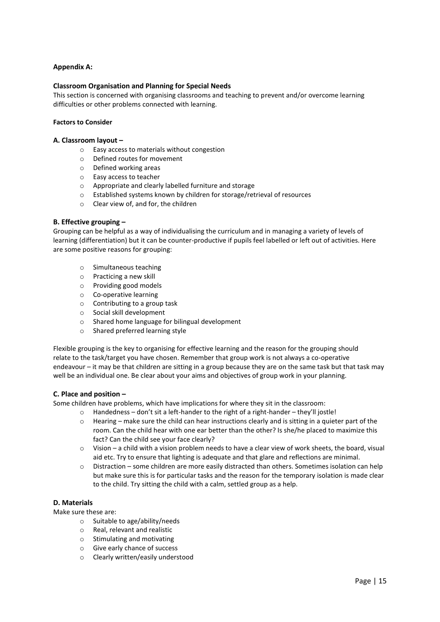## **Appendix A:**

#### **Classroom Organisation and Planning for Special Needs**

This section is concerned with organising classrooms and teaching to prevent and/or overcome learning difficulties or other problems connected with learning.

#### **Factors to Consider**

#### **A. Classroom layout –**

- o Easy access to materials without congestion
- o Defined routes for movement
- o Defined working areas
- o Easy access to teacher
- o Appropriate and clearly labelled furniture and storage
- o Established systems known by children for storage/retrieval of resources
- o Clear view of, and for, the children

### **B. Effective grouping –**

Grouping can be helpful as a way of individualising the curriculum and in managing a variety of levels of learning (differentiation) but it can be counter-productive if pupils feel labelled or left out of activities. Here are some positive reasons for grouping:

- o Simultaneous teaching
- o Practicing a new skill
- o Providing good models
- o Co-operative learning
- o Contributing to a group task
- o Social skill development
- o Shared home language for bilingual development
- o Shared preferred learning style

Flexible grouping is the key to organising for effective learning and the reason for the grouping should relate to the task/target you have chosen. Remember that group work is not always a co-operative endeavour – it may be that children are sitting in a group because they are on the same task but that task may well be an individual one. Be clear about your aims and objectives of group work in your planning.

#### **C. Place and position –**

Some children have problems, which have implications for where they sit in the classroom:

- $\circ$  Handedness don't sit a left-hander to the right of a right-hander they'll jostle!
- $\circ$  Hearing make sure the child can hear instructions clearly and is sitting in a quieter part of the room. Can the child hear with one ear better than the other? Is she/he placed to maximize this fact? Can the child see your face clearly?
- o Vision a child with a vision problem needs to have a clear view of work sheets, the board, visual aid etc. Try to ensure that lighting is adequate and that glare and reflections are minimal.
- o Distraction some children are more easily distracted than others. Sometimes isolation can help but make sure this is for particular tasks and the reason for the temporary isolation is made clear to the child. Try sitting the child with a calm, settled group as a help.

#### **D. Materials**

Make sure these are:

- o Suitable to age/ability/needs
- o Real, relevant and realistic
- o Stimulating and motivating
- o Give early chance of success
- o Clearly written/easily understood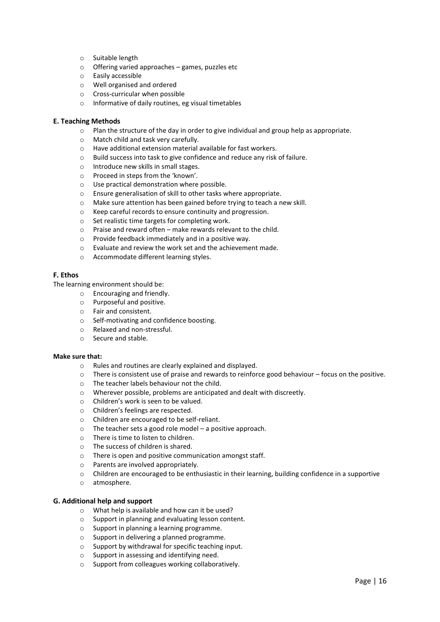- o Suitable length
- o Offering varied approaches games, puzzles etc
- o Easily accessible
- o Well organised and ordered
- o Cross-curricular when possible
- o Informative of daily routines, eg visual timetables

#### **E. Teaching Methods**

- $\circ$  Plan the structure of the day in order to give individual and group help as appropriate.
- o Match child and task very carefully.
- o Have additional extension material available for fast workers.
- o Build success into task to give confidence and reduce any risk of failure.
- o Introduce new skills in small stages.
- o Proceed in steps from the 'known'.
- o Use practical demonstration where possible.
- o Ensure generalisation of skill to other tasks where appropriate.
- o Make sure attention has been gained before trying to teach a new skill.
- o Keep careful records to ensure continuity and progression.
- o Set realistic time targets for completing work.
- o Praise and reward often make rewards relevant to the child.
- o Provide feedback immediately and in a positive way.
- o Evaluate and review the work set and the achievement made.
- o Accommodate different learning styles.

## **F. Ethos**

The learning environment should be:

- o Encouraging and friendly.<br>
o Purposeful and positive.
- Purposeful and positive.
- o Fair and consistent.
- o Self-motivating and confidence boosting.
- o Relaxed and non-stressful.
- o Secure and stable.

#### **Make sure that:**

- o Rules and routines are clearly explained and displayed.
- $\circ$  There is consistent use of praise and rewards to reinforce good behaviour focus on the positive.
- o The teacher labels behaviour not the child.
- o Wherever possible, problems are anticipated and dealt with discreetly.
- o Children's work is seen to be valued.
- o Children's feelings are respected.
- o Children are encouraged to be self-reliant.
- $\circ$  The teacher sets a good role model a positive approach.
- o There is time to listen to children.
- o The success of children is shared.
- o There is open and positive communication amongst staff.
- o Parents are involved appropriately.
- $\circ$  Children are encouraged to be enthusiastic in their learning, building confidence in a supportive
- o atmosphere.

#### **G. Additional help and support**

- o What help is available and how can it be used?
- o Support in planning and evaluating lesson content.
- o Support in planning a learning programme.
- o Support in delivering a planned programme.
- o Support by withdrawal for specific teaching input.
- o Support in assessing and identifying need.
- o Support from colleagues working collaboratively.